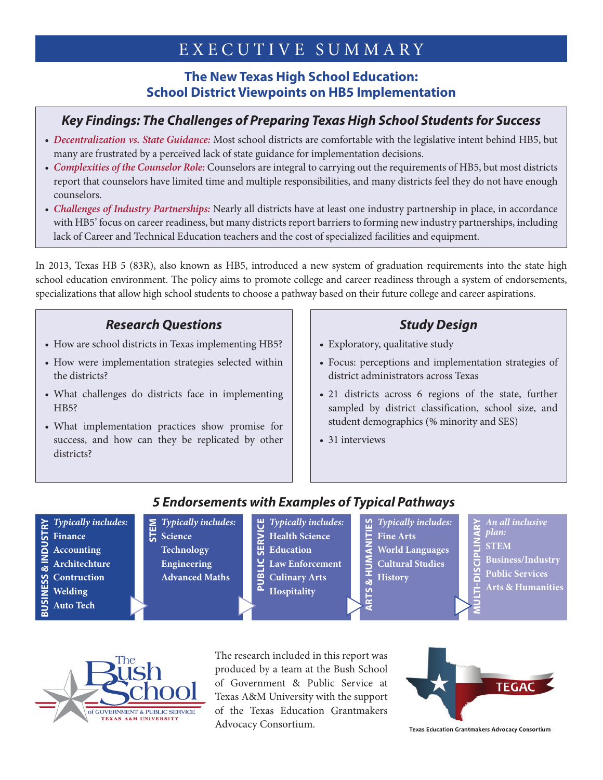# EXECUTIVE SUMMARY

#### **The New Texas High School Education: School District Viewpoints on HB5 Implementation**

#### *Key Findings: The Challenges of Preparing Texas High School Students for Success*

- *Decentralization vs. State Guidance:* Most school districts are comfortable with the legislative intent behind HB5, but many are frustrated by a perceived lack of state guidance for implementation decisions.
- *Complexities of the Counselor Role:* Counselors are integral to carrying out the requirements of HB5, but most districts report that counselors have limited time and multiple responsibilities, and many districts feel they do not have enough counselors.
- *Challenges of Industry Partnerships:* Nearly all districts have at least one industry partnership in place, in accordance with HB5' focus on career readiness, but many districts report barriers to forming new industry partnerships, including lack of Career and Technical Education teachers and the cost of specialized facilities and equipment.

In 2013, Texas HB 5 (83R), also known as HB5, introduced a new system of graduation requirements into the state high school education environment. The policy aims to promote college and career readiness through a system of endorsements, specializations that allow high school students to choose a pathway based on their future college and career aspirations.

#### *Research Questions*

- How are school districts in Texas implementing HB5?
- How were implementation strategies selected within the districts?
- What challenges do districts face in implementing HB<sub>5</sub>?
- What implementation practices show promise for success, and how can they be replicated by other districts?

## *Study Design*

- Exploratory, qualitative study
- Focus: perceptions and implementation strategies of district administrators across Texas
- 21 districts across 6 regions of the state, further sampled by district classification, school size, and student demographics (% minority and SES)
- 31 interviews

œ

### *5 Endorsements with Examples of Typical Pathways*

- *Typically includes:* **BUSINESS & INDUSTRY** & INDUSTRY **Finance Accounting Architechture Contruction BUSINESS Welding Auto Tech**
- *Typically includes:* **S** *Typical*<br>**G** Science **Technology**

**Engineering Advanced Maths**

- *Typically includes:*
- **Health Science**
- **Education PUBLIC SERVICE**
- **Law Enforcement**
- **Culinary Arts Hospitality**

*Typically includes:* **Fine Arts World Languages Cultural Studies History ARTS & HUMANITIES**

- *An all inclusive plan:*
- **STEM MULTI-DISCIPLINARY**
	- **Business/Industry**
	- **Public Services**
	- **Arts & Humanities**



The research included in this report was produced by a team at the Bush School of Government & Public Service at Texas A&M University with the support of the Texas Education Grantmakers Advocacy Consortium.



**Texas Education Grantmakers Advocacy Consortium**